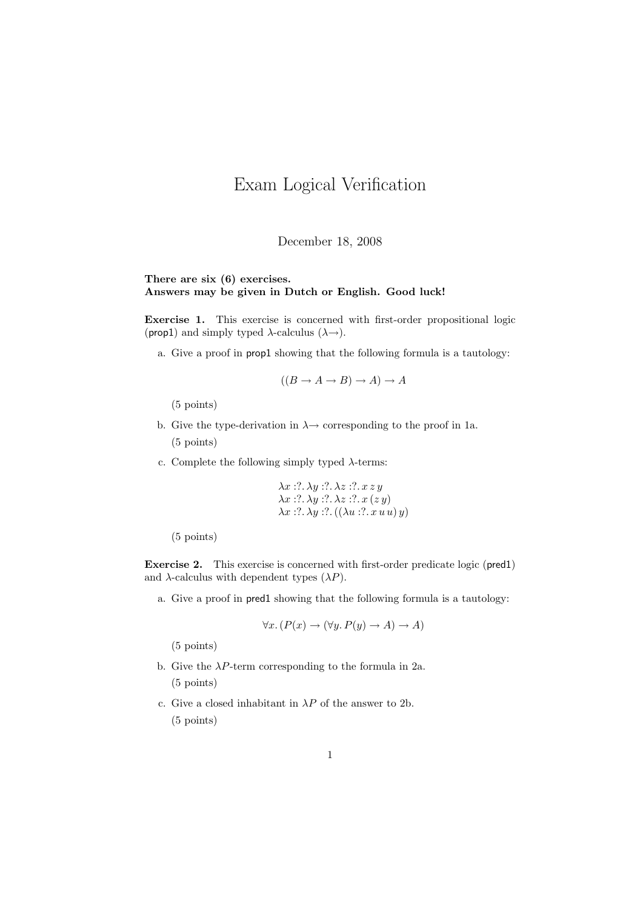## Exam Logical Verification

December 18, 2008

## There are six (6) exercises. Answers may be given in Dutch or English. Good luck!

Exercise 1. This exercise is concerned with first-order propositional logic (prop1) and simply typed  $\lambda$ -calculus  $(\lambda \rightarrow)$ .

a. Give a proof in prop1 showing that the following formula is a tautology:

$$
((B \to A \to B) \to A) \to A
$$

(5 points)

- b. Give the type-derivation in  $\lambda \rightarrow$  corresponding to the proof in 1a. (5 points)
- c. Complete the following simply typed  $\lambda$ -terms:

$$
\lambda x :: ?. \lambda y :: . \lambda z :: ?. x z y
$$
  

$$
\lambda x :: ?. \lambda y :: ?. \lambda z :: ?. x (z y)
$$
  

$$
\lambda x :: ?. \lambda y :: ?. ((\lambda u :: ?. x u u) y)
$$

(5 points)

Exercise 2. This exercise is concerned with first-order predicate logic (pred1) and  $\lambda$ -calculus with dependent types  $(\lambda P)$ .

a. Give a proof in pred1 showing that the following formula is a tautology:

$$
\forall x. (P(x) \to (\forall y. P(y) \to A) \to A)
$$

(5 points)

- b. Give the  $\lambda P$ -term corresponding to the formula in 2a. (5 points)
- c. Give a closed inhabitant in  $\lambda P$  of the answer to 2b. (5 points)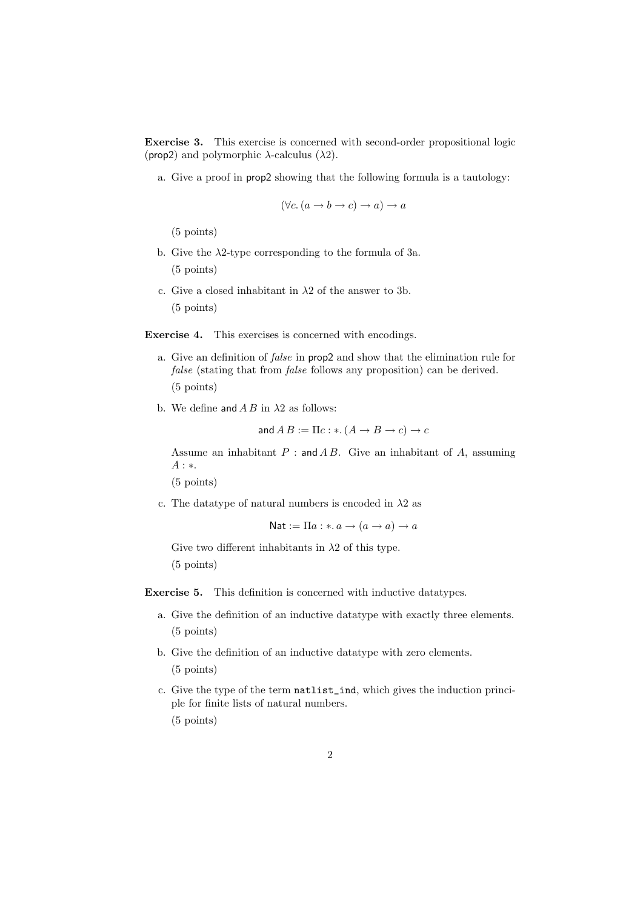Exercise 3. This exercise is concerned with second-order propositional logic (prop2) and polymorphic  $\lambda$ -calculus ( $\lambda$ 2).

a. Give a proof in prop2 showing that the following formula is a tautology:

$$
(\forall c. (a \to b \to c) \to a) \to a
$$

(5 points)

- b. Give the  $\lambda$ 2-type corresponding to the formula of 3a. (5 points)
- c. Give a closed inhabitant in  $\lambda$ 2 of the answer to 3b. (5 points)

Exercise 4. This exercises is concerned with encodings.

- a. Give an definition of false in prop2 and show that the elimination rule for false (stating that from false follows any proposition) can be derived. (5 points)
- b. We define and  $AB$  in  $\lambda 2$  as follows:

and 
$$
AB := \Pi c : * (A \to B \to c) \to c
$$

Assume an inhabitant  $P:$  and  $AB$ . Give an inhabitant of  $A$ , assuming A : ∗.

(5 points)

c. The datatype of natural numbers is encoded in  $\lambda$ 2 as

$$
Nat := \Pi a : * a \to (a \to a) \to a
$$

Give two different inhabitants in  $\lambda$ 2 of this type. (5 points)

Exercise 5. This definition is concerned with inductive datatypes.

- a. Give the definition of an inductive datatype with exactly three elements. (5 points)
- b. Give the definition of an inductive datatype with zero elements. (5 points)
- c. Give the type of the term natlist\_ind, which gives the induction principle for finite lists of natural numbers. (5 points)